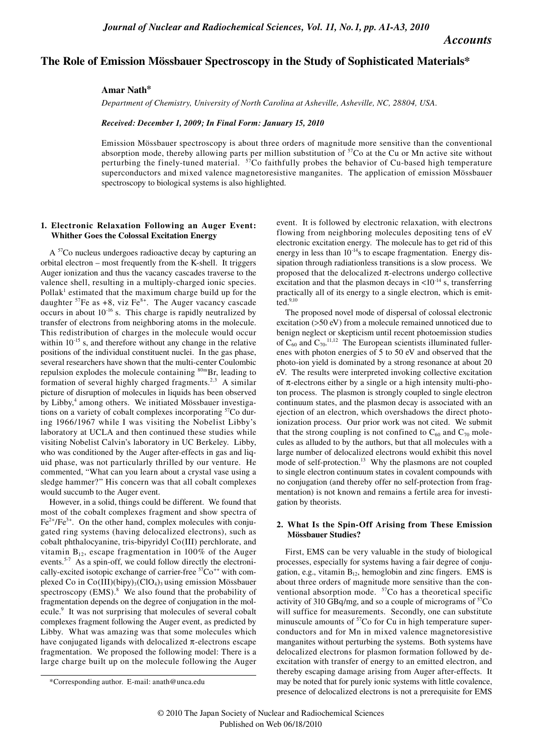*Accounts*

# **The Role of Emission Mössbauer Spectroscopy in the Study of Sophisticated Materials\***

**Amar Nath\***

*Department of Chemistry, University of North Carolina at Asheville, Asheville, NC, 28804, USA.*

*Received: December 1, 2009; In Final Form: January 15, 2010*

Emission Mössbauer spectroscopy is about three orders of magnitude more sensitive than the conventional absorption mode, thereby allowing parts per million substitution of  ${}^{57}$ Co at the Cu or Mn active site without perturbing the finely-tuned material. 57Co faithfully probes the behavior of Cu-based high temperature superconductors and mixed valence magnetoresistive manganites. The application of emission Mössbauer spectroscopy to biological systems is also highlighted.

# **1. Electronic Relaxation Following an Auger Event: Whither Goes the Colossal Excitation Energy**

A <sup>57</sup>Co nucleus undergoes radioactive decay by capturing an orbital electron – most frequently from the K-shell. It triggers Auger ionization and thus the vacancy cascades traverse to the valence shell, resulting in a multiply-charged ionic species. Pollak<sup>1</sup> estimated that the maximum charge build up for the daughter  $57Fe$  as +8, viz Fe<sup>8+</sup>. The Auger vacancy cascade occurs in about  $10^{-16}$  s. This charge is rapidly neutralized by transfer of electrons from neighboring atoms in the molecule. This redistribution of charges in the molecule would occur within  $10^{-15}$  s, and therefore without any change in the relative positions of the individual constituent nuclei. In the gas phase, several researchers have shown that the multi-center Coulombic repulsion explodes the molecule containing  $80$ mBr, leading to formation of several highly charged fragments.<sup>2,3</sup> A similar picture of disruption of molecules in liquids has been observed by Libby,<sup>4</sup> among others. We initiated Mössbauer investigations on a variety of cobalt complexes incorporating <sup>57</sup>Co during 1966/1967 while I was visiting the Nobelist Libby's laboratory at UCLA and then continued these studies while visiting Nobelist Calvin's laboratory in UC Berkeley. Libby, who was conditioned by the Auger after-effects in gas and liquid phase, was not particularly thrilled by our venture. He commented, "What can you learn about a crystal vase using a sledge hammer?" His concern was that all cobalt complexes would succumb to the Auger event.

However, in a solid, things could be different. We found that most of the cobalt complexes fragment and show spectra of  $Fe<sup>2+</sup>/Fe<sup>3+</sup>$ . On the other hand, complex molecules with conjugated ring systems (having delocalized electrons), such as cobalt phthalocyanine, tris-bipyridyl Co(III) perchlorate, and vitamin  $B_{12}$ , escape fragmentation in 100% of the Auger events.<sup>5-7</sup> As a spin-off, we could follow directly the electronically-excited isotopic exchange of carrier-free  ${}^{57}Co^{++}$  with complexed Co in Co(III)(bipy)<sub>3</sub>(ClO<sub>4</sub>)<sub>3</sub> using emission Mössbauer spectroscopy  $(EMS)^8$  We also found that the probability of fragmentation depends on the degree of conjugation in the molecule.<sup>9</sup> It was not surprising that molecules of several cobalt complexes fragment following the Auger event, as predicted by Libby. What was amazing was that some molecules which have conjugated ligands with delocalized  $\pi$ -electrons escape fragmentation. We proposed the following model: There is a large charge built up on the molecule following the Auger event. It is followed by electronic relaxation, with electrons flowing from neighboring molecules depositing tens of eV electronic excitation energy. The molecule has to get rid of this energy in less than  $10^{-14}$ s to escape fragmentation. Energy dissipation through radiationless transitions is a slow process. We proposed that the delocalized  $\pi$ -electrons undergo collective excitation and that the plasmon decays in  $\langle 10^{-14} \text{ s}, \text{transferring} \rangle$ practically all of its energy to a single electron, which is emit- $\text{ted.}^{9,10}$ 

The proposed novel mode of dispersal of colossal electronic excitation (>50 eV) from a molecule remained unnoticed due to benign neglect or skepticism until recent photoemission studies of  $C_{60}$  and  $C_{70}$ .<sup>11,12</sup> The European scientists illuminated fullerenes with photon energies of 5 to 50 eV and observed that the photo-ion yield is dominated by a strong resonance at about 20 eV. The results were interpreted invoking collective excitation of  $\pi$ -electrons either by a single or a high intensity multi-photon process. The plasmon is strongly coupled to single electron continuum states, and the plasmon decay is associated with an ejection of an electron, which overshadows the direct photoionization process. Our prior work was not cited. We submit that the strong coupling is not confined to  $C_{60}$  and  $C_{70}$  molecules as alluded to by the authors, but that all molecules with a large number of delocalized electrons would exhibit this novel mode of self-protection.<sup>13</sup> Why the plasmons are not coupled to single electron continuum states in covalent compounds with no conjugation (and thereby offer no self-protection from fragmentation) is not known and remains a fertile area for investigation by theorists.

# **2. What Is the Spin-Off Arising from These Emission Mössbauer Studies?**

First, EMS can be very valuable in the study of biological processes, especially for systems having a fair degree of conjugation, e.g., vitamin  $B_{12}$ , hemoglobin and zinc fingers. EMS is about three orders of magnitude more sensitive than the conventional absorption mode. <sup>57</sup>Co has a theoretical specific activity of 310 GBq/mg, and so a couple of micrograms of  ${}^{57}Co$ will suffice for measurements. Secondly, one can substitute minuscule amounts of <sup>57</sup>Co for Cu in high temperature superconductors and for Mn in mixed valence magnetoresistive manganites without perturbing the systems. Both systems have delocalized electrons for plasmon formation followed by deexcitation with transfer of energy to an emitted electron, and thereby escaping damage arising from Auger after-effects. It may be noted that for purely ionic systems with little covalence, presence of delocalized electrons is not a prerequisite for EMS

<sup>\*</sup>Corresponding author. E-mail: anath@unca.edu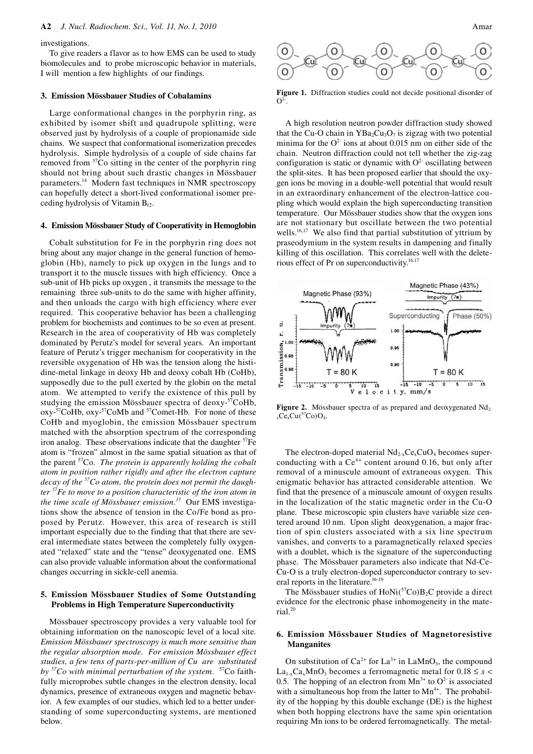#### investigations.

To give readers a flavor as to how EMS can be used to study biomolecules and to probe microscopic behavior in materials, I will mention a few highlights of our findings.

### **3. Emission Mössbauer Studies of Cobalamins**

Large conformational changes in the porphyrin ring, as exhibited by isomer shift and quadrupole splitting, were observed just by hydrolysis of a couple of propionamide side chains. We suspect that conformational isomerization precedes hydrolysis. Simple hydrolysis of a couple of side chains far removed from 57Co sitting in the center of the porphyrin ring should not bring about such drastic changes in Mössbauer parameters.14 Modern fast techniques in NMR spectroscopy can hopefully detect a short-lived conformational isomer preceding hydrolysis of Vitamin  $B_{12}$ .

#### **4. Emission Mössbauer Study of Cooperativity in Hemoglobin**

Cobalt substitution for Fe in the porphyrin ring does not bring about any major change in the general function of hemoglobin (Hb), namely to pick up oxygen in the lungs and to transport it to the muscle tissues with high efficiency. Once a sub-unit of Hb picks up oxygen , it transmits the message to the remaining three sub-units to do the same with higher affinity, and then unloads the cargo with high efficiency where ever required. This cooperative behavior has been a challenging problem for biochemists and continues to be so even at present. Research in the area of cooperativity of Hb was completely dominated by Perutz's model for several years. An important feature of Perutz's trigger mechanism for cooperativity in the reversible oxygenation of Hb was the tension along the histidine-metal linkage in deoxy Hb and deoxy cobalt Hb (CoHb), supposedly due to the pull exerted by the globin on the metal atom. We attempted to verify the existence of this pull by studying the emission Mössbauer spectra of deoxy-57CoHb, oxy-<sup>57</sup>CoHb, oxy-<sup>57</sup>CoMb and <sup>57</sup>Comet-Hb. For none of these CoHb and myoglobin, the emission Mössbauer spectrum matched with the absorption spectrum of the corresponding iron analog. These observations indicate that the daughter  ${}^{57}Fe$ atom is "frozen" almost in the same spatial situation as that of the parent 57Co. *The protein is apparently holding the cobalt atom in position rather rigidly and after the electron capture decay of the 57Co atom, the protein does not permit the daughter 57Fe to move to a position characteristic of the iron atom in the time scale of Mössbauer emission.15* Our EMS investigations show the absence of tension in the Co/Fe bond as proposed by Perutz. However, this area of research is still important especially due to the finding that that there are several intermediate states between the completely fully oxygenated "relaxed" state and the "tense" deoxygenated one. EMS can also provide valuable information about the conformational changes occurring in sickle-cell anemia.

#### **5. Emission Mössbauer Studies of Some Outstanding Problems in High Temperature Superconductivity**

Mössbauer spectroscopy provides a very valuable tool for obtaining information on the nanoscopic level of a local site*. Emission Mössbauer spectroscopy is much more sensitive than the regular absorption mode. For emission Mössbauer effect studies, a few tens of parts-per-million of Cu are substituted by 57Co with minimal perturbation of the system.* 57Co faithfully microprobes subtle changes in the electron density, local dynamics, presence of extraneous oxygen and magnetic behavior. A few examples of our studies, which led to a better understanding of some superconducting systems, are mentioned below.





**Figure 1.** Diffraction studies could not decide positional disorder of  $\Omega$ <sup>2-</sup>.

A high resolution neutron powder diffraction study showed that the Cu-O chain in  $YBa_2Cu_3O_7$  is zigzag with two potential minima for the  $O^2$  ions at about 0.015 nm on either side of the chain. Neutron diffraction could not tell whether the zig-zag configuration is static or dynamic with  $O<sup>2</sup>$  oscillating between the split-sites. It has been proposed earlier that should the oxygen ions be moving in a double-well potential that would result in an extraordinary enhancement of the electron-lattice coupling which would explain the high superconducting transition temperature. Our Mössbauer studies show that the oxygen ions are not stationary but oscillate between the two potential wells.<sup>16,17</sup> We also find that partial substitution of yttrium by praseodymium in the system results in dampening and finally killing of this oscillation. This correlates well with the deleterious effect of Pr on superconductivity.16,17



Figure 2. Mössbauer spectra of as prepared and deoxygenated Nd<sub>2-</sub>  $C_{\rm c}C_{\rm x}Cu({}^{57}\text{Co})O_4$ .

The electron-doped material  $Nd_{2-x}Ce_xCuO_4$  becomes superconducting with a  $Ce^{4+}$  content around 0.16, but only after removal of a minuscule amount of extraneous oxygen. This enigmatic behavior has attracted considerable attention. We find that the presence of a minuscule amount of oxygen results in the localization of the static magnetic order in the Cu-O plane. These microscopic spin clusters have variable size centered around 10 nm. Upon slight deoxygenation, a major fraction of spin clusters associated with a six line spectrum vanishes, and converts to a paramagnetically relaxed species with a doublet, which is the signature of the superconducting phase. The Mössbauer parameters also indicate that Nd-Ce-Cu-O is a truly electron-doped superconductor contrary to several reports in the literature.<sup>16-19</sup>

The Mössbauer studies of HoNi(57Co)B<sub>2</sub>C provide a direct evidence for the electronic phase inhomogeneity in the material.20

# **6. Emission Mössbauer Studies of Magnetoresistive Manganites**

On substitution of  $Ca^{2+}$  for  $La^{3+}$  in  $LaMnO_3$ , the compound  $La<sub>1-x</sub>Ca<sub>x</sub>MnO<sub>3</sub>$  becomes a ferromagnetic metal for  $0.18 \le x <$ 0.5. The hopping of an electron from  $Mn^{3+}$  to  $O^2$  is associated with a simultaneous hop from the latter to  $Mn^{4+}$ . The probability of the hopping by this double exchange (DE) is the highest when both hopping electrons have the same spin orientation requiring Mn ions to be ordered ferromagnetically. The metal